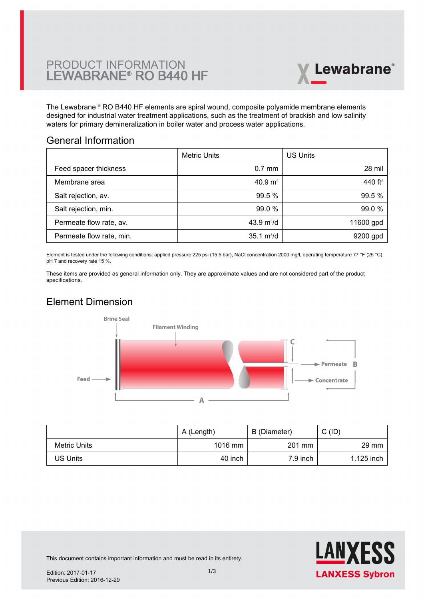

The Lewabrane ® RO B440 HF elements are spiral wound, composite polyamide membrane elements [designed for industrial water treatment applications, such as the treatment of brackish and low salinity](https://www.pureaqua.com/lanxess-lewabrane-b440-hf-membrane/) waters for primary demineralization in boiler water and process water applications.

#### General Information

|                          | <b>Metric Units</b>         | <b>US Units</b>     |
|--------------------------|-----------------------------|---------------------|
| Feed spacer thickness    | $0.7$ mm                    | 28 mil              |
| Membrane area            | 40.9 m <sup>2</sup>         | 440 ft <sup>2</sup> |
| Salt rejection, av.      | 99.5 %                      | 99.5%               |
| Salt rejection, min.     | 99.0 %                      | 99.0%               |
| Permeate flow rate, av.  | 43.9 $m^3/d$                | 11600 gpd           |
| Permeate flow rate, min. | $35.1 \text{ m}^3/\text{d}$ | 9200 gpd            |

Element is tested under the following conditions: applied pressure 225 psi (15.5 bar), NaCl concentration 2000 mg/l, operating temperature 77 °F (25 °C), pH 7 and recovery rate 15 %.

These items are provided as general information only. They are approximate values and are not considered part of the product specifications.

## Element Dimension



|              | A (Length) | B (Diameter) | C(ID)           |
|--------------|------------|--------------|-----------------|
| Metric Units | 1016 mm    | 201 mm       | $29 \text{ mm}$ |
| US Units     | 40 inch    | $7.9$ inch   | 1.125 inch      |



This document contains important information and must be read in its entirety.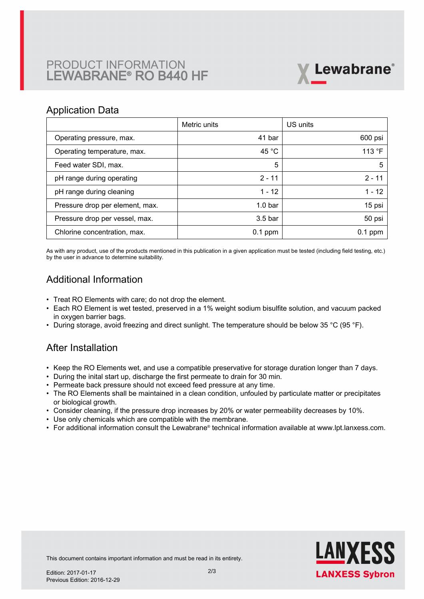# PRODUCT INFORMATION LEWABRANE® RO B440 HF



#### Application Data

|                                 | Metric units       | US units        |
|---------------------------------|--------------------|-----------------|
| Operating pressure, max.        | 41 bar             | 600 psi         |
| Operating temperature, max.     | 45 $^{\circ}$ C    | 113 $\degree$ F |
| Feed water SDI, max.            | 5                  | 5               |
| pH range during operating       | $2 - 11$           | $2 - 11$        |
| pH range during cleaning        | $1 - 12$           | $1 - 12$        |
| Pressure drop per element, max. | 1.0 <sub>bar</sub> | 15 psi          |
| Pressure drop per vessel, max.  | 3.5 <sub>bar</sub> | 50 psi          |
| Chlorine concentration, max.    | $0.1$ ppm          | $0.1$ ppm       |

As with any product, use of the products mentioned in this publication in a given application must be tested (including field testing, etc.) by the user in advance to determine suitability.

## Additional Information

- Treat RO Elements with care; do not drop the element.
- Each RO Element is wet tested, preserved in a 1% weight sodium bisulfite solution, and vacuum packed in oxygen barrier bags.
- During storage, avoid freezing and direct sunlight. The temperature should be below 35 °C (95 °F).

#### After Installation

- Keep the RO Elements wet, and use a compatible preservative for storage duration longer than 7 days.
- During the inital start up, discharge the first permeate to drain for 30 min.
- Permeate back pressure should not exceed feed pressure at any time.
- The RO Elements shall be maintained in a clean condition, unfouled by particulate matter or precipitates or biological growth.
- Consider cleaning, if the pressure drop increases by 20% or water permeability decreases by 10%.
- Use only chemicals which are compatible with the membrane.
- For additional information consult the Lewabrane® technical information available at www.lpt.lanxess.com.



This document contains important information and must be read in its entirety.